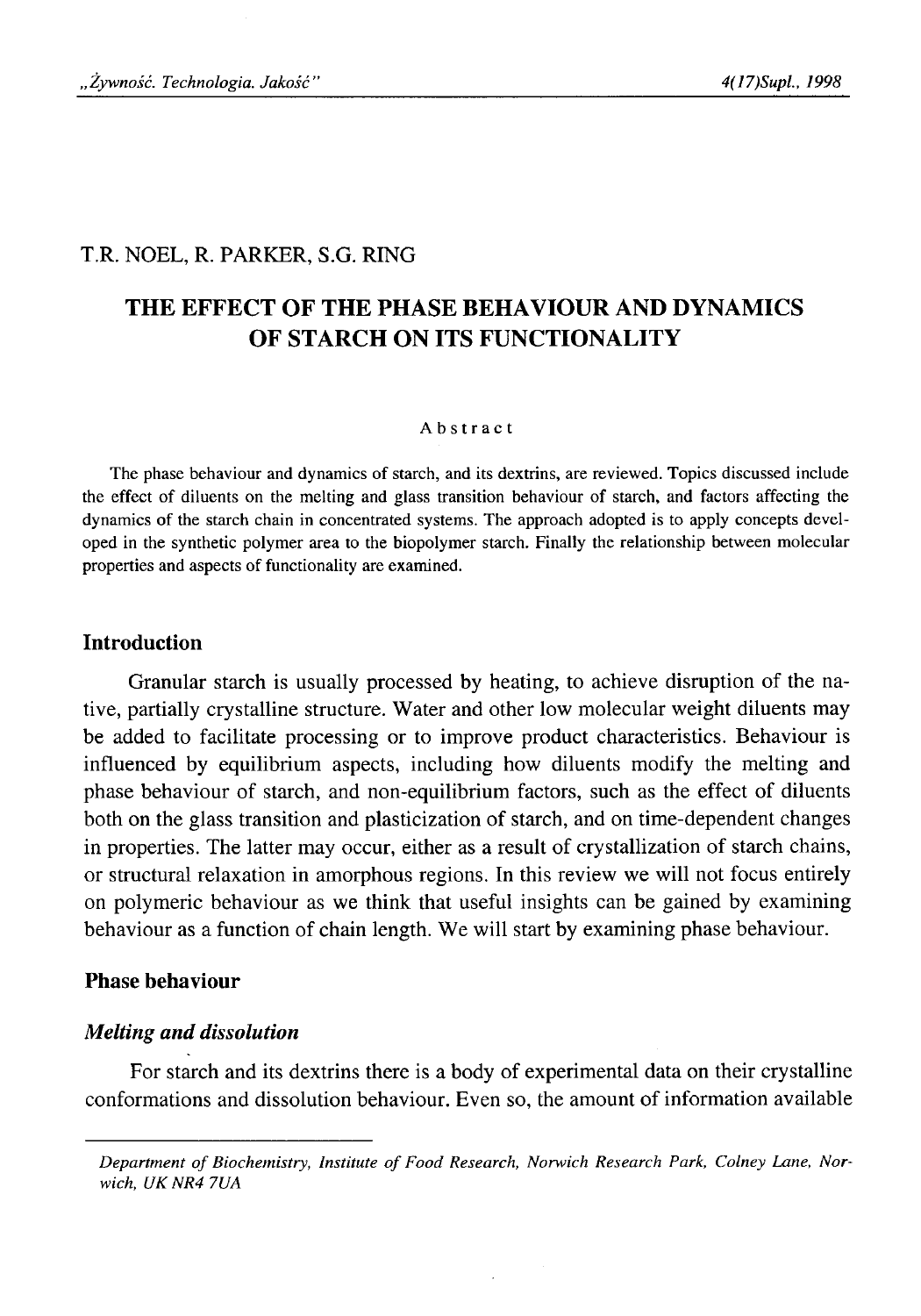## T.R. NOEL, R. PARKER, S.G. RING

# **THE EFFECT OF THE PHASE BEHAVIOUR AND DYNAMICS OF STARCH ON ITS FUNCTIONALITY**

## Abstract

The phase behaviour and dynamics of starch, and its dextrins, are reviewed. Topics discussed include the effect of diluents on the melting and glass transition behaviour of starch, and factors affecting the dynamics of the starch chain in concentrated systems. The approach adopted is to apply concepts developed in the synthetic polymer area to the biopolymer starch. Finally the relationship between molecular properties and aspects of functionality are examined.

## **Introduction**

Granular starch is usually processed by heating, to achieve disruption of the native, partially crystalline structure. Water and other low molecular weight diluents may be added to facilitate processing or to improve product characteristics. Behaviour is influenced by equilibrium aspects, including how diluents modify the melting and phase behaviour of starch, and non-equilibrium factors, such as the effect of diluents both on the glass transition and plasticization of starch, and on time-dependent changes in properties. The latter may occur, either as a result of crystallization of starch chains, or structural relaxation in amorphous regions. In this review we will not focus entirely on polymeric behaviour as we think that useful insights can be gained by examining behaviour as a function of chain length. We will start by examining phase behaviour.

## **Phase behaviour**

## *Melting and dissolution*

For starch and its dextrins there is a body of experimental data on their crystalline conformations and dissolution behaviour. Even so, the amount of information available

Department of Biochemistry, Institute of Food Research, Norwich Research Park, Colney Lane, Nor*wich, UKNR4 7UA*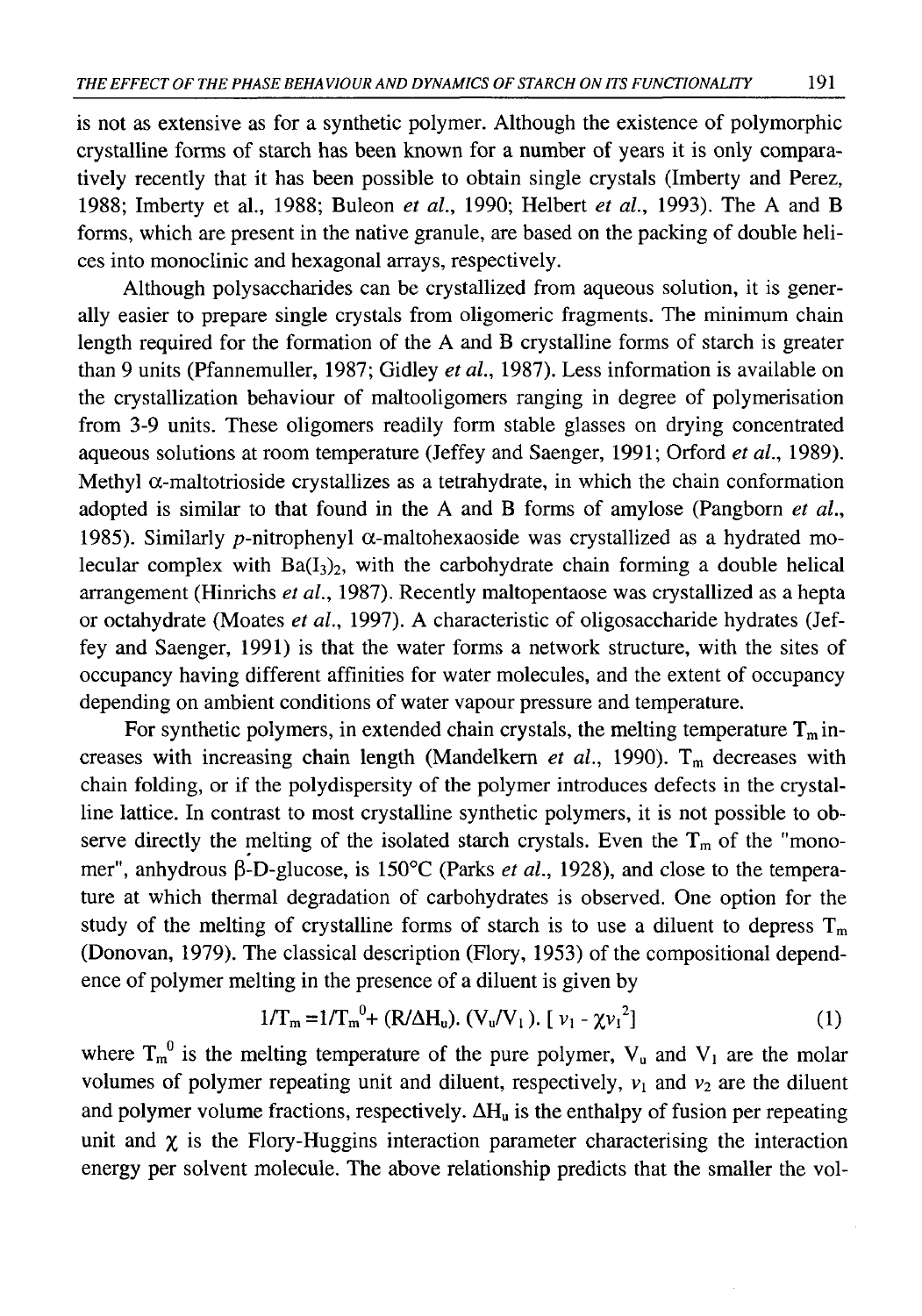is not as extensive as for a synthetic polymer. Although the existence of polymorphic crystalline forms of starch has been known for a number of years it is only comparatively recently that it has been possible to obtain single crystals (Imberty and Perez, 1988; Imberty et al., 1988; Buleon *et al.,* 1990; Helbert *et al.,* 1993). The A and B forms, which are present in the native granule, are based on the packing of double helices into monoclinic and hexagonal arrays, respectively.

Although polysaccharides can be crystallized from aqueous solution, it is generally easier to prepare single crystals from oligomeric fragments. The minimum chain length required for the formation of the A and B crystalline forms of starch is greater than 9 units (Pfannemuller, 1987; Gidley *et al.,* 1987). Less information is available on the crystallization behaviour of maltooligomers ranging in degree of polymerisation from 3-9 units. These oligomers readily form stable glasses on drying concentrated aqueous solutions at room temperature (Jeffey and Saenger, 1991; Orford *et al.,* 1989). Methyl  $\alpha$ -maltotrioside crystallizes as a tetrahydrate, in which the chain conformation adopted is similar to that found in the A and B forms of amylose (Pangborn *et al.,* 1985). Similarly p-nitrophenyl  $\alpha$ -maltohexaoside was crystallized as a hydrated molecular complex with  $Ba(I_3)_2$ , with the carbohydrate chain forming a double helical arrangement (Hinrichs *et al.,* 1987). Recently maltopentaose was crystallized as a hepta or octahydrate (Moates *et al.,* 1997). A characteristic of oligosaccharide hydrates (Jeffey and Saenger, 1991) is that the water forms a network structure, with the sites of occupancy having different affinities for water molecules, and the extent of occupancy depending on ambient conditions of water vapour pressure and temperature.

For synthetic polymers, in extended chain crystals, the melting temperature  $T_m$  increases with increasing chain length (Mandelkern *et al.*, 1990). T<sub>m</sub> decreases with chain folding, or if the polydispersity of the polymer introduces defects in the crystalline lattice. In contrast to most crystalline synthetic polymers, it is not possible to observe directly the melting of the isolated starch crystals. Even the  $T_m$  of the "monomer", anhydrous β-D-glucose, is 150°C (Parks *et al.,* 1928), and close to the temperature at which thermal degradation of carbohydrates is observed. One option for the study of the melting of crystalline forms of starch is to use a diluent to depress  $T_m$ (Donovan, 1979). The classical description (Flory, 1953) of the compositional dependence of polymer melting in the presence of a diluent is given by

$$
1/\Gamma_{\rm m} = 1/\Gamma_{\rm m}^{\ \nu} + (R/\Delta H_{\rm u}). \ (V_{\rm u}/V_1). \ [ \ \nu_1 - \chi v_1^2 ] \tag{1}
$$

where  $T_m^0$  is the melting temperature of the pure polymer,  $V_u$  and  $V_l$  are the molar volumes of polymer repeating unit and diluent, respectively,  $v_1$  and  $v_2$  are the diluent and polymer volume fractions, respectively.  $\Delta H_u$  is the enthalpy of fusion per repeating unit and  $\chi$  is the Flory-Huggins interaction parameter characterising the interaction energy per solvent molecule. The above relationship predicts that the smaller the vol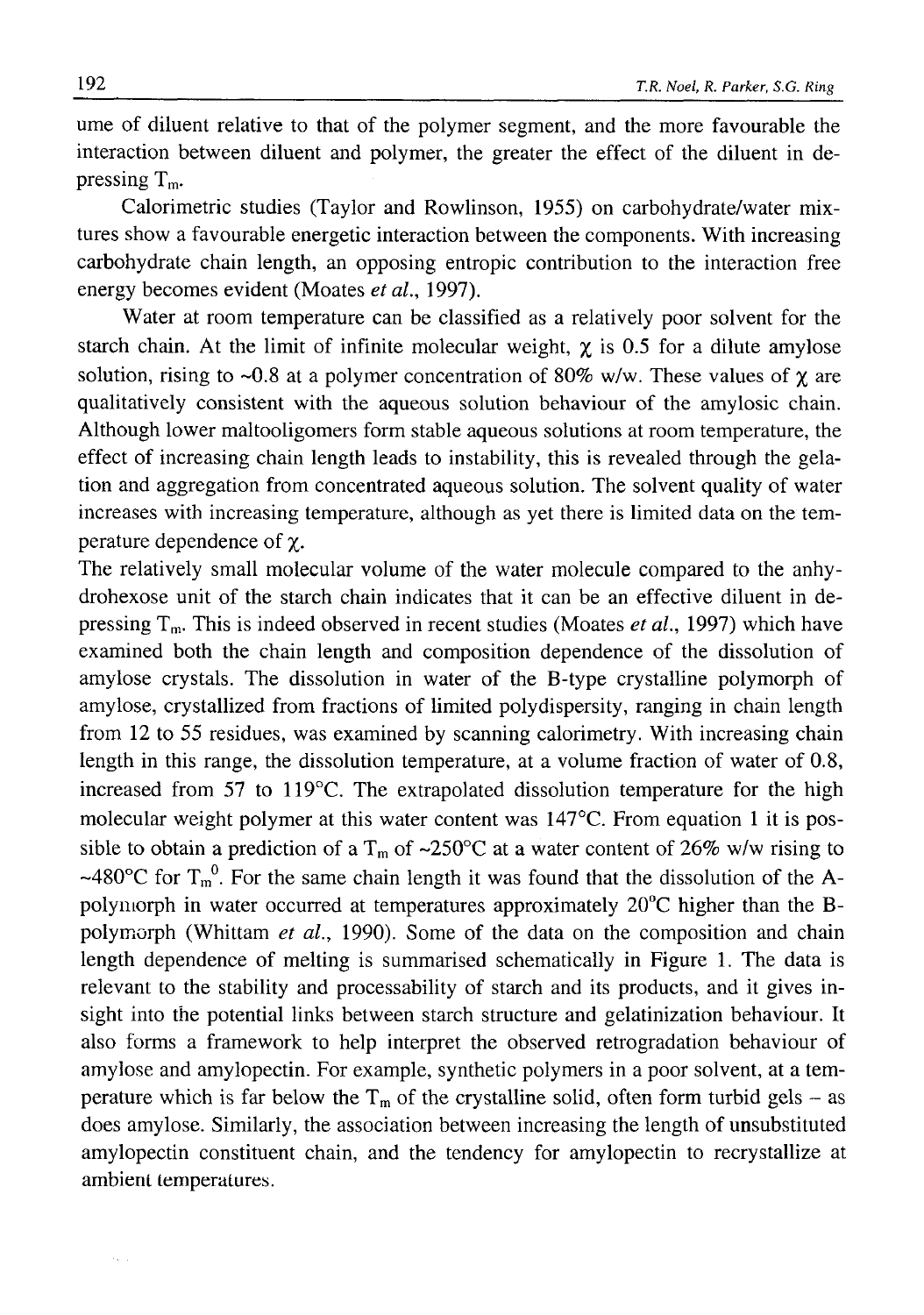ume of diluent relative to that of the polymer segment, and the more favourable the interaction between diluent and polymer, the greater the effect of the diluent in depressing  $T_m$ .

Calorimetric studies (Taylor and Rowlinson, 1955) on carbohydrate/water mixtures show a favourable energetic interaction between the components. With increasing carbohydrate chain length, an opposing entropie contribution to the interaction free energy becomes evident (Moates *et al.,* 1997).

Water at room temperature can be classified as a relatively poor solvent for the starch chain. At the limit of infinite molecular weight,  $\chi$  is 0.5 for a dilute amylose solution, rising to ~0.8 at a polymer concentration of 80% w/w. These values of  $\gamma$  are qualitatively consistent with the aqueous solution behaviour of the amylosic chain. Although lower maltooligomers form stable aqueous solutions at room temperature, the effect of increasing chain length leads to instability, this is revealed through the gelation and aggregation from concentrated aqueous solution. The solvent quality of water increases with increasing temperature, although as yet there is limited data on the temperature dependence of χ.

The relatively small molecular volume of the water molecule compared to the anhydrohexose unit of the starch chain indicates that it can be an effective diluent in depressing Tm. This is indeed observed in recent studies (Moates *et al.,* 1997) which have examined both the chain length and composition dependence of the dissolution of amylose crystals. The dissolution in water of the B-type crystalline polymorph of amylose, crystallized from fractions of limited polydispersity, ranging in chain length from 12 to 55 residues, was examined by scanning calorimetry. With increasing chain length in this range, the dissolution temperature, at a volume fraction of water of 0.8, increased from 57 to 119°C. The extrapolated dissolution temperature for the high molecular weight polymer at this water content was 147°C. From equation 1 it is possible to obtain a prediction of a T<sub>m</sub> of ~250°C at a water content of 26% w/w rising to ~480°C for  $T_m^0$ . For the same chain length it was found that the dissolution of the Apolymorph in water occurred at temperatures approximately 20°C higher than the Bpolymorph (Whittam *et al.,* 1990). Some of the data on the composition and chain length dependence of melting is summarised schematically in Figure 1. The data is relevant to the stability and processability of starch and its products, and it gives insight into the potential links between starch structure and gelatinization behaviour. It also forms a framework to help interpret the observed retrogradation behaviour of amylose and amylopectin. For example, synthetic polymers in a poor solvent, at a temperature which is far below the  $T_m$  of the crystalline solid, often form turbid gels – as does amylose. Similarly, the association between increasing the length of unsubstituted amylopectin constituent chain, and the tendency for amylopectin to recrystallize at ambient temperatures.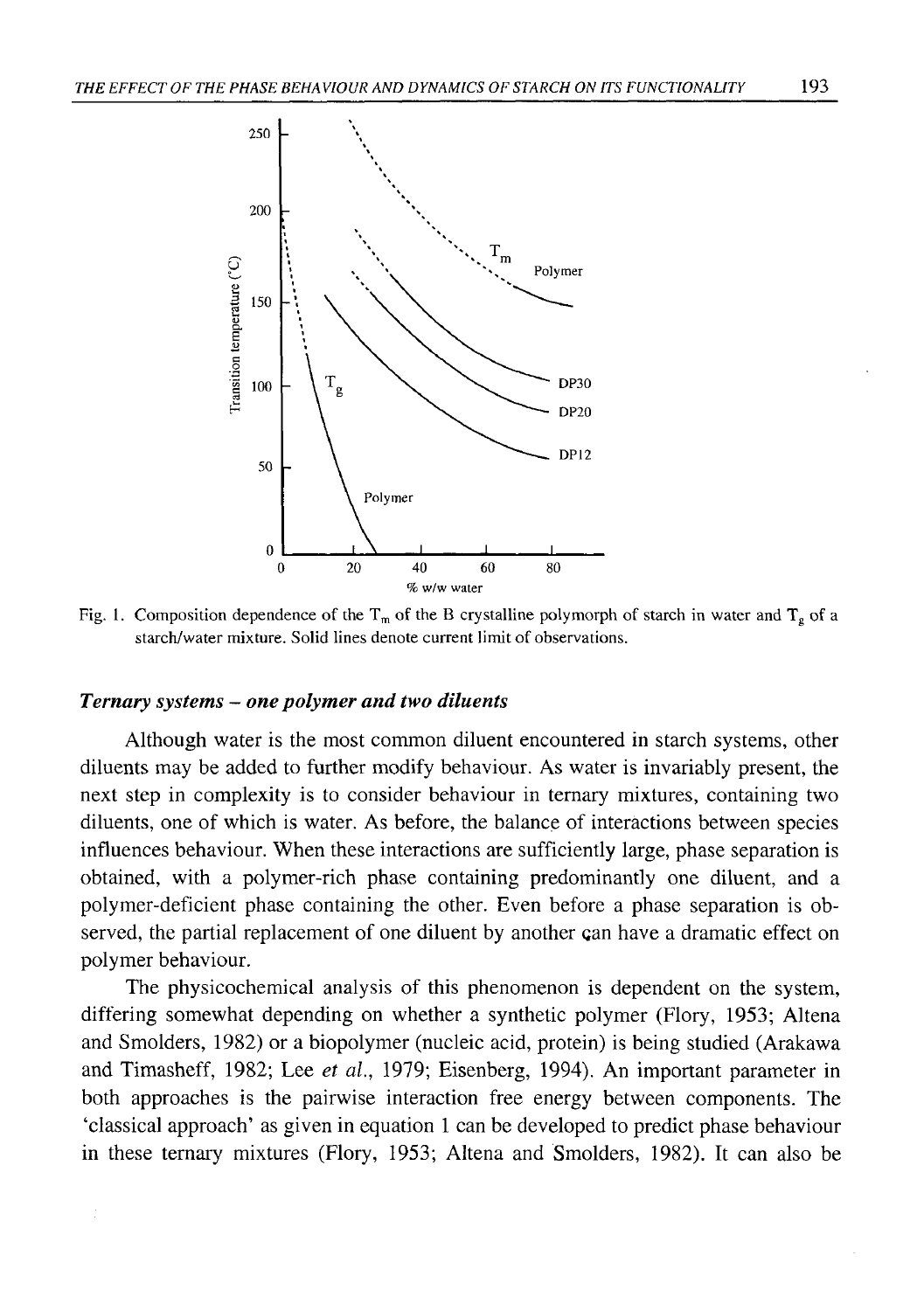

Fig. 1. Composition dependence of the T<sub>m</sub> of the B crystalline polymorph of starch in water and T<sub>g</sub> of a starch/water mixture. Solid lines denote current limit of observations.

## *Ternary systems — one polymer and two diluents*

Although water is the most common diluent encountered in starch systems, other diluents may be added to further modify behaviour. As water is invariably present, the next step in complexity is to consider behaviour in ternary mixtures, containing two diluents, one of which is water. As before, the balance of interactions between species influences behaviour. When these interactions are sufficiently large, phase separation is obtained, with a polymer-rich phase containing predominantly one diluent, and a polymer-deficient phase containing the other. Even before a phase separation is observed, the partial replacement of one diluent by another can have a dramatic effect on polymer behaviour.

The physicochemical analysis of this phenomenon is dependent on the system, differing somewhat depending on whether a synthetic polymer (Flory, 1953; Altena and Smolders, 1982) or a biopolymer (nucleic acid, protein) is being studied (Arakawa and Timasheff, 1982; Lee *et al.,* 1979; Eisenberg, 1994). An important parameter in both approaches is the pairwise interaction free energy between components. The 'classical approach' as given in equation 1 can be developed to predict phase behaviour in these ternary mixtures (Flory, 1953; Altena and Smolders, 1982). It can also be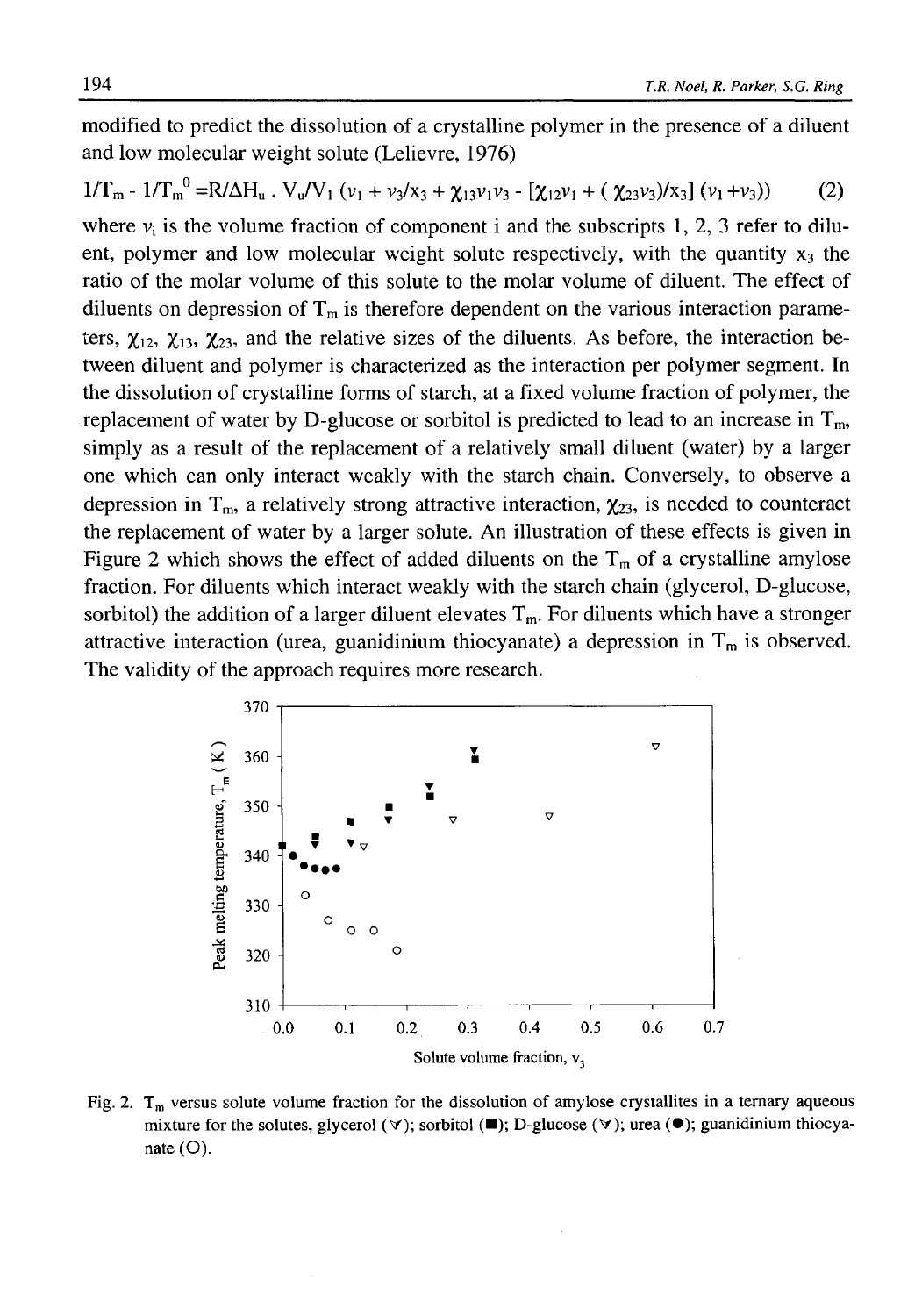modified to predict the dissolution of a crystalline polymer in the presence of a diluent and low molecular weight solute (Lelievre, 1976)

$$
1/T_{m} - 1/T_{m}^{0} = R/\Delta H_{u} \cdot V_{u}/V_{1} \left(v_{1} + v_{3}/x_{3} + \chi_{13}v_{1}v_{3} - \left[\chi_{12}v_{1} + (\chi_{23}v_{3})/x_{3}\right](v_{1} + v_{3})\right) \tag{2}
$$

where  $v_i$  is the volume fraction of component i and the subscripts 1, 2, 3 refer to diluent, polymer and low molecular weight solute respectively, with the quantity  $x_3$  the ratio of the molar volume of this solute to the molar volume of diluent. The effect of diluents on depression of  $T_m$  is therefore dependent on the various interaction parameters,  $\chi_{12}$ ,  $\chi_{13}$ ,  $\chi_{23}$ , and the relative sizes of the diluents. As before, the interaction between diluent and polymer is characterized as the interaction per polymer segment. In the dissolution of crystalline forms of starch, at a fixed volume fraction of polymer, the replacement of water by D-glucose or sorbitol is predicted to lead to an increase in  $T_m$ , simply as a result of the replacement of a relatively small diluent (water) by a larger one which can only interact weakly with the starch chain. Conversely, to observe a depression in  $T_{\text{m}}$ , a relatively strong attractive interaction,  $\chi_{23}$ , is needed to counteract the replacement of water by a larger solute. An illustration of these effects is given in Figure 2 which shows the effect of added diluents on the  $T_m$  of a crystalline amylose fraction. For diluents which interact weakly with the starch chain (glycerol, D-glucose, sorbitol) the addition of a larger diluent elevates  $T_m$ . For diluents which have a stronger attractive interaction (urea, guanidinium thiocyanate) a depression in  $T_m$  is observed. The validity of the approach requires more research.



Fig. 2.  $T_m$  versus solute volume fraction for the dissolution of amylose crystallites in a ternary aqueous mixture for the solutes, glycerol ( $\forall$ ); sorbitol ( $\blacksquare$ ); D-glucose ( $\forall$ ); urea ( $\blacklozenge$ ); guanidinium thiocyanate  $(O)$ .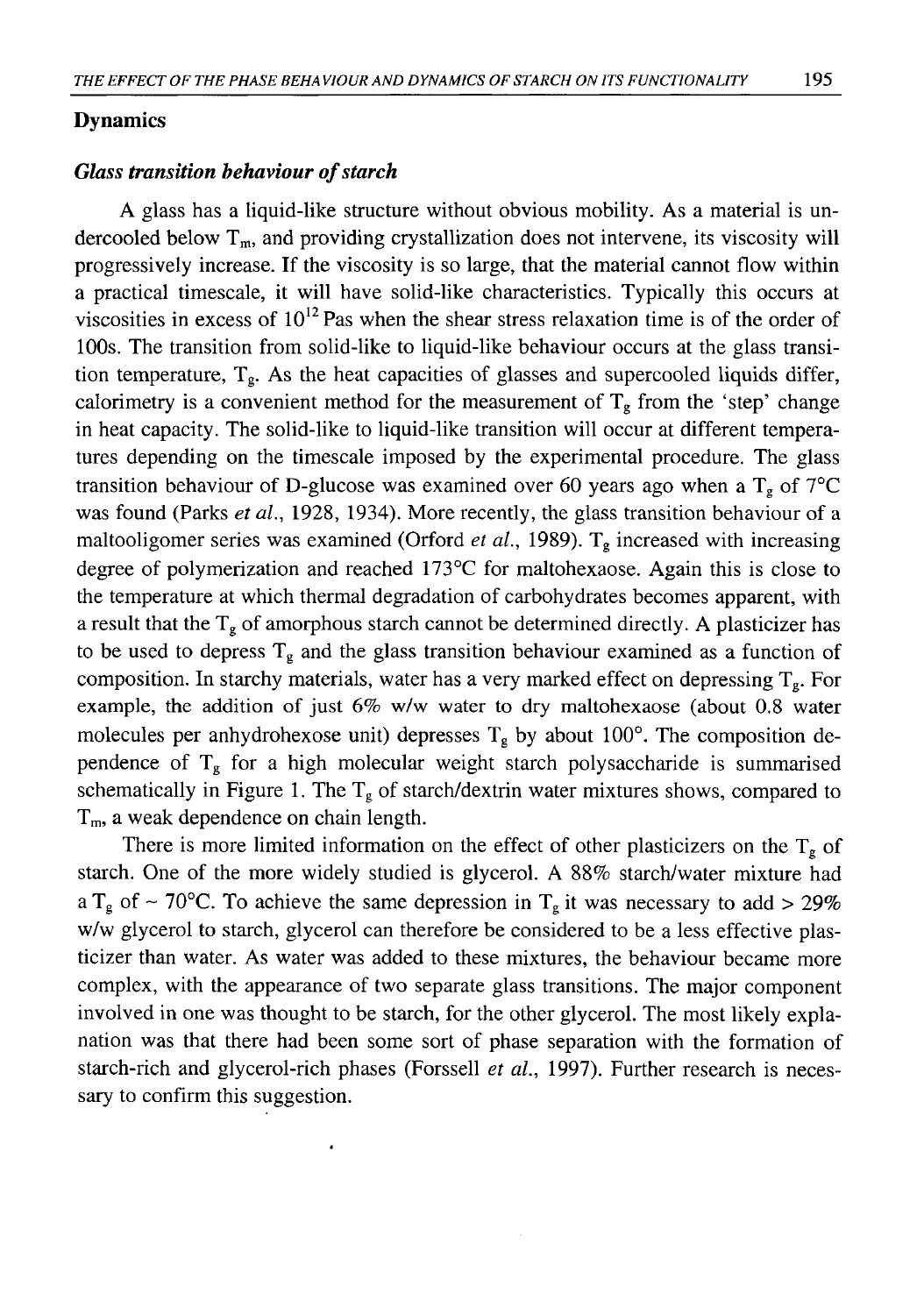## **Dynamics**

# *Glass transition behaviour of starch*

A glass has a liquid-like structure without obvious mobility. As a material is undercooled below  $T_m$ , and providing crystallization does not intervene, its viscosity will progressively increase. If the viscosity is so large, that the material cannot flow within a practical timescale, it will have solid-like characteristics. Typically this occurs at viscosities in excess of  $10^{12}$  Pas when the shear stress relaxation time is of the order of 100s. The transition from solid-like to liquid-like behaviour occurs at the glass transition temperature,  $T_g$ . As the heat capacities of glasses and supercooled liquids differ, calorimetry is a convenient method for the measurement of  $T_g$  from the 'step' change in heat capacity. The solid-like to liquid-like transition will occur at different temperatures depending on the timescale imposed by the experimental procedure. The glass transition behaviour of D-glucose was examined over 60 years ago when a  $T_g$  of 7°C was found (Parks *et al.,* 1928, 1934). More recently, the glass transition behaviour of a maltooligomer series was examined (Orford *et al*., 1989). Tg increased with increasing degree of polymerization and reached 173°C for maltohexaose. Again this is close to the temperature at which thermal degradation of carbohydrates becomes apparent, with a result that the  $T_g$  of amorphous starch cannot be determined directly. A plasticizer has to be used to depress  $T_g$  and the glass transition behaviour examined as a function of composition. In starchy materials, water has a very marked effect on depressing  $T_g$ . For example, the addition of just 6% w/w water to dry maltohexaose (about 0.8 water molecules per anhydrohexose unit) depresses  $T_g$  by about 100°. The composition dependence of  $T_g$  for a high molecular weight starch polysaccharide is summarised schematically in Figure 1. The  $T_g$  of starch/dextrin water mixtures shows, compared to T<sub>m</sub>, a weak dependence on chain length.

There is more limited information on the effect of other plasticizers on the  $T_g$  of starch. One of the more widely studied is glycerol. A 88% starch/water mixture had a T<sub>g</sub> of ~ 70°C. To achieve the same depression in T<sub>g</sub> it was necessary to add > 29% w/w glycerol to starch, glycerol can therefore be considered to be a less effective plasticizer than water. As water was added to these mixtures, the behaviour became more complex, with the appearance of two separate glass transitions. The major component involved in one was thought to be starch, for the other glycerol. The most likely explanation was that there had been some sort of phase separation with the formation of starch-rich and glycerol-rich phases (Forssell *et al.,* 1997). Further research is necessary to confirm this suggestion.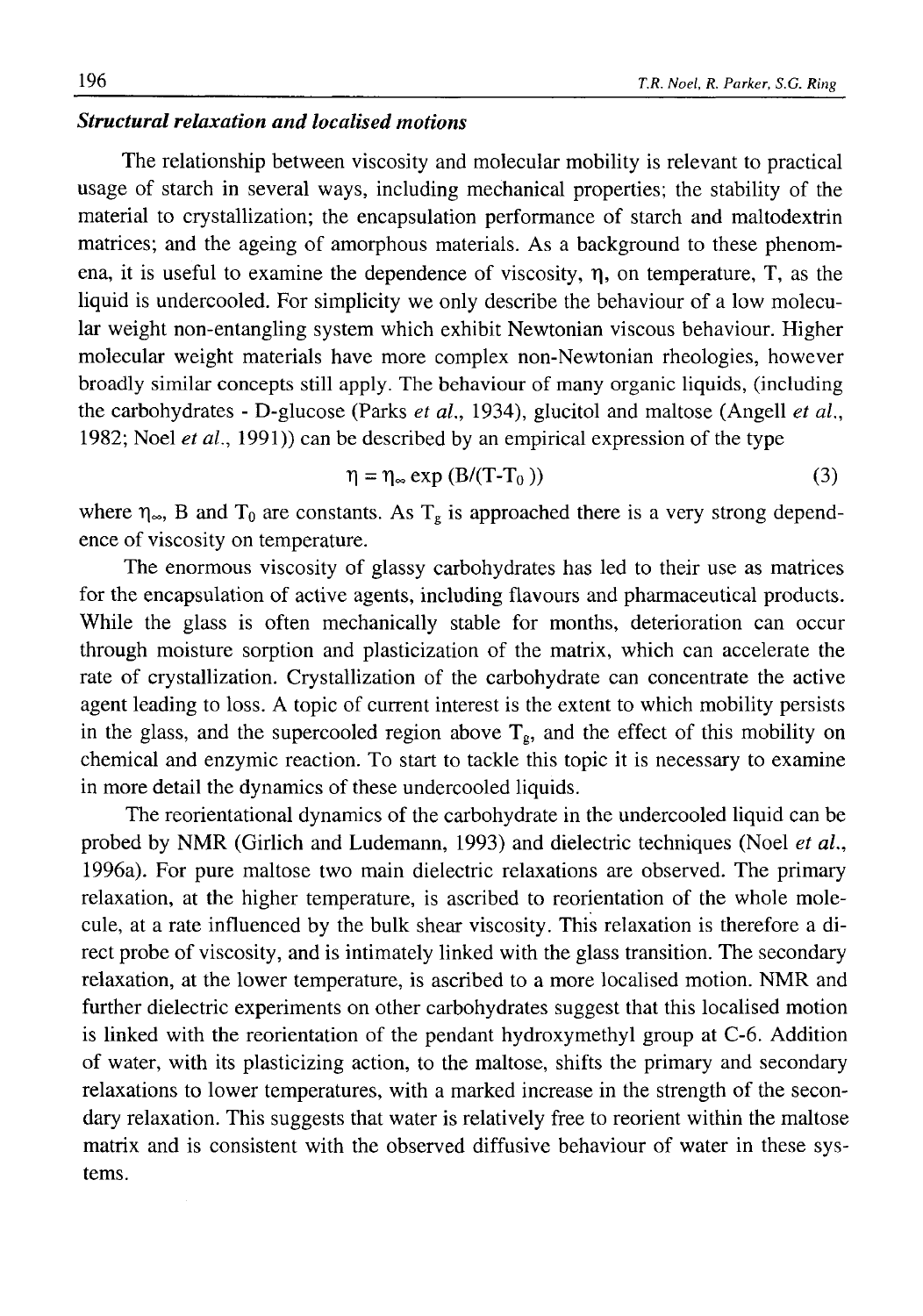## *Structural relaxation and localised motions*

The relationship between viscosity and molecular mobility is relevant to practical usage of starch in several ways, including mechanical properties; the stability of the material to crystallization; the encapsulation performance of starch and maltodextrin matrices; and the ageing of amorphous materials. As a background to these phenomena, it is useful to examine the dependence of viscosity, η, on temperature, T, as the liquid is undercooled. For simplicity we only describe the behaviour of a low molecular weight non-entangling system which exhibit Newtonian viscous behaviour. Higher molecular weight materials have more complex non-Newtonian rheologies, however broadly similar concepts still apply. The behaviour of many organic liquids, (including the carbohydrates - D-glucose (Parks *et al.,* 1934), glucitol and maltose (Angell *et al.,* 1982; Noel *et al*., 1991)) can be described by an empirical expression of the type

$$
\eta = \eta_{\infty} \exp\left(B/(T - T_0)\right) \tag{3}
$$

where  $\eta_{\infty}$ , B and  $T_0$  are constants. As  $T_g$  is approached there is a very strong dependence of viscosity on temperature.

The enormous viscosity of glassy carbohydrates has led to their use as matrices for the encapsulation of active agents, including flavours and pharmaceutical products. While the glass is often mechanically stable for months, deterioration can occur through moisture sorption and plasticization of the matrix, which can accelerate the rate of crystallization. Crystallization of the carbohydrate can concentrate the active agent leading to loss. A topic of current interest is the extent to which mobility persists in the glass, and the supercooled region above  $T_g$ , and the effect of this mobility on chemical and enzymic reaction. To start to tackle this topic it is necessary to examine in more detail the dynamics of these undercooled liquids.

The reorientational dynamics of the carbohydrate in the undercooled liquid can be probed by NMR (Girlich and Ludemann, 1993) and dielectric techniques (Noel *et al*., 1996a). For pure maltose two main dielectric relaxations are observed. The primary relaxation, at the higher temperature, is ascribed to reorientation of the whole molecule, at a rate influenced by the bulk shear viscosity. This relaxation is therefore a direct probe of viscosity, and is intimately linked with the glass transition. The secondary relaxation, at the lower temperature, is ascribed to a more localised motion. NMR and further dielectric experiments on other carbohydrates suggest that this localised motion is linked with the reorientation of the pendant hydroxymethyl group at C-6. Addition of water, with its plasticizing action, to the maltose, shifts the primary and secondary relaxations to lower temperatures, with a marked increase in the strength of the secondary relaxation. This suggests that water is relatively free to reorient within the maltose matrix and is consistent with the observed diffusive behaviour of water in these systems.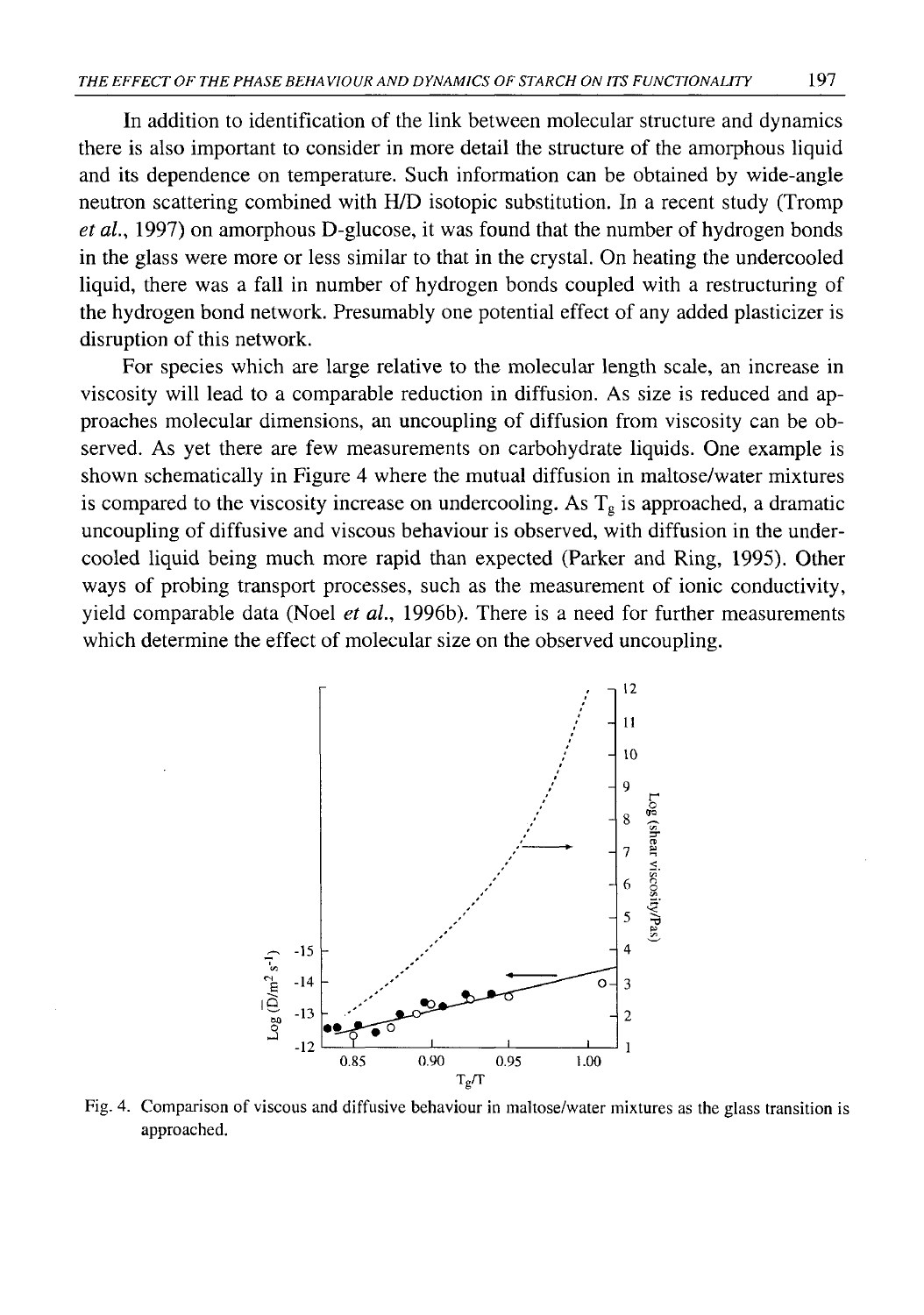In addition to identification of the link between molecular structure and dynamics there is also important to consider in more detail the structure of the amorphous liquid and its dependence on temperature. Such information can be obtained by wide-angle neutron scattering combined with H/D isotopic substitution. In a recent study (Tromp *et al.,* 1997) on amorphous D-glucose, it was found that the number of hydrogen bonds in the glass were more or less similar to that in the crystal. On heating the undercooled liquid, there was a fall in number of hydrogen bonds coupled with a restructuring of the hydrogen bond network. Presumably one potential effect of any added plasticizer is disruption of this network.

For species which are large relative to the molecular length scale, an increase in viscosity will lead to a comparable reduction in diffusion. As size is reduced and approaches molecular dimensions, an uncoupling of diffusion from viscosity can be observed. As yet there are few measurements on carbohydrate liquids. One example is shown schematically in Figure 4 where the mutual diffusion in maltose/water mixtures is compared to the viscosity increase on undercooling. As  $T_g$  is approached, a dramatic uncoupling of diffusive and viscous behaviour is observed, with diffusion in the undercooled liquid being much more rapid than expected (Parker and Ring, 1995). Other ways of probing transport processes, such as the measurement of ionic conductivity, yield comparable data (Noel *et al.,* 1996b). There is a need for further measurements which determine the effect of molecular size on the observed uncoupling.



Fig. 4. Comparison of viscous and diffusive behaviour in maltose/water mixtures as the glass transition is approached.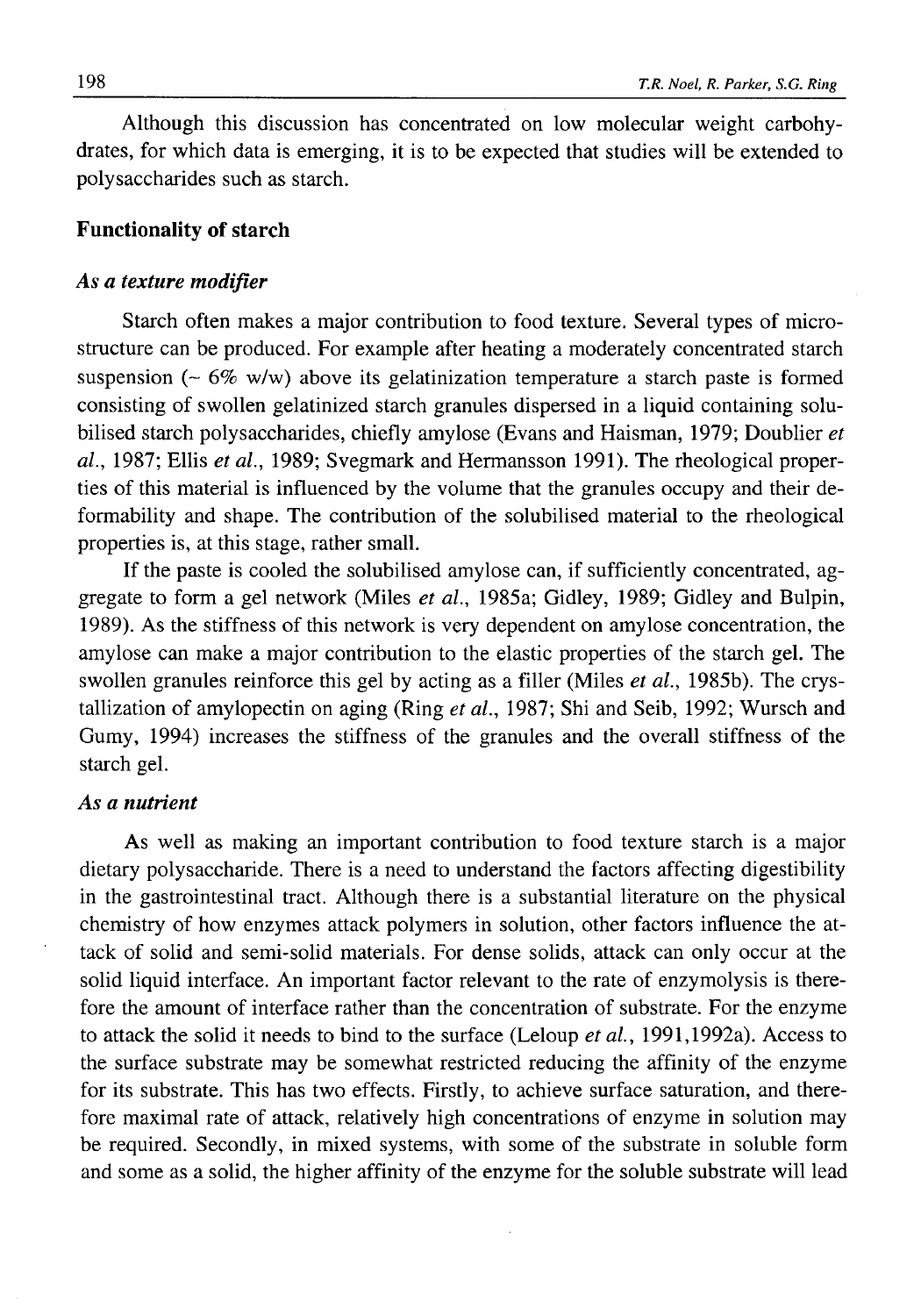Although this discussion has concentrated on low molecular weight carbohydrates, for which data is emerging, it is to be expected that studies will be extended to polysaccharides such as starch.

# **Functionality of starch**

## *As a texture modifier*

Starch often makes a major contribution to food texture. Several types of microstructure can be produced. For example after heating a moderately concentrated starch suspension ( $\sim$  6% w/w) above its gelatinization temperature a starch paste is formed consisting of swollen gelatinized starch granules dispersed in a liquid containing solubilised starch polysaccharides, chiefly amylose (Evans and Haisman, 1979; Doublier *et al.,* 1987; Ellis *et al.,* 1989; Svegmark and Hermansson 1991). The rheological properties of this material is influenced by the volume that the granules occupy and their deformability and shape. The contribution of the solubilised material to the rheological properties is, at this stage, rather small.

If the paste is cooled the solubilised amylose can, if sufficiently concentrated, aggregate to form a gel network (Miles *et al.,* 1985a; Gidley, 1989; Gidley and Bulpin, 1989). As the stiffness of this network is very dependent on amylose concentration, the amylose can make a major contribution to the elastic properties of the starch gel. The swollen granules reinforce this gel by acting as a filler (Miles *et al.,* 1985b). The crystallization of amylopectin on aging (Ring *et al.,* 1987; Shi and Seib, 1992; Wursch and Gumy, 1994) increases the stiffness of the granules and the overall stiffness of the starch gel.

# *As a nutrient*

As well as making an important contribution to food texture starch is a major dietary polysaccharide. There is a need to understand the factors affecting digestibility in the gastrointestinal tract. Although there is a substantial literature on the physical chemistry of how enzymes attack polymers in solution, other factors influence the attack of solid and semi-solid materials. For dense solids, attack can only occur at the solid liquid interface. An important factor relevant to the rate of enzymolysis is therefore the amount of interface rather than the concentration of substrate. For the enzyme to attack the solid it needs to bind to the surface (Leloup *et al.,* 1991,1992a). Access to the surface substrate may be somewhat restricted reducing the affinity of the enzyme for its substrate. This has two effects. Firstly, to achieve surface saturation, and therefore maximal rate of attack, relatively high concentrations of enzyme in solution may be required. Secondly, in mixed systems, with some of the substrate in soluble form and some as a solid, the higher affinity of the enzyme for the soluble substrate will lead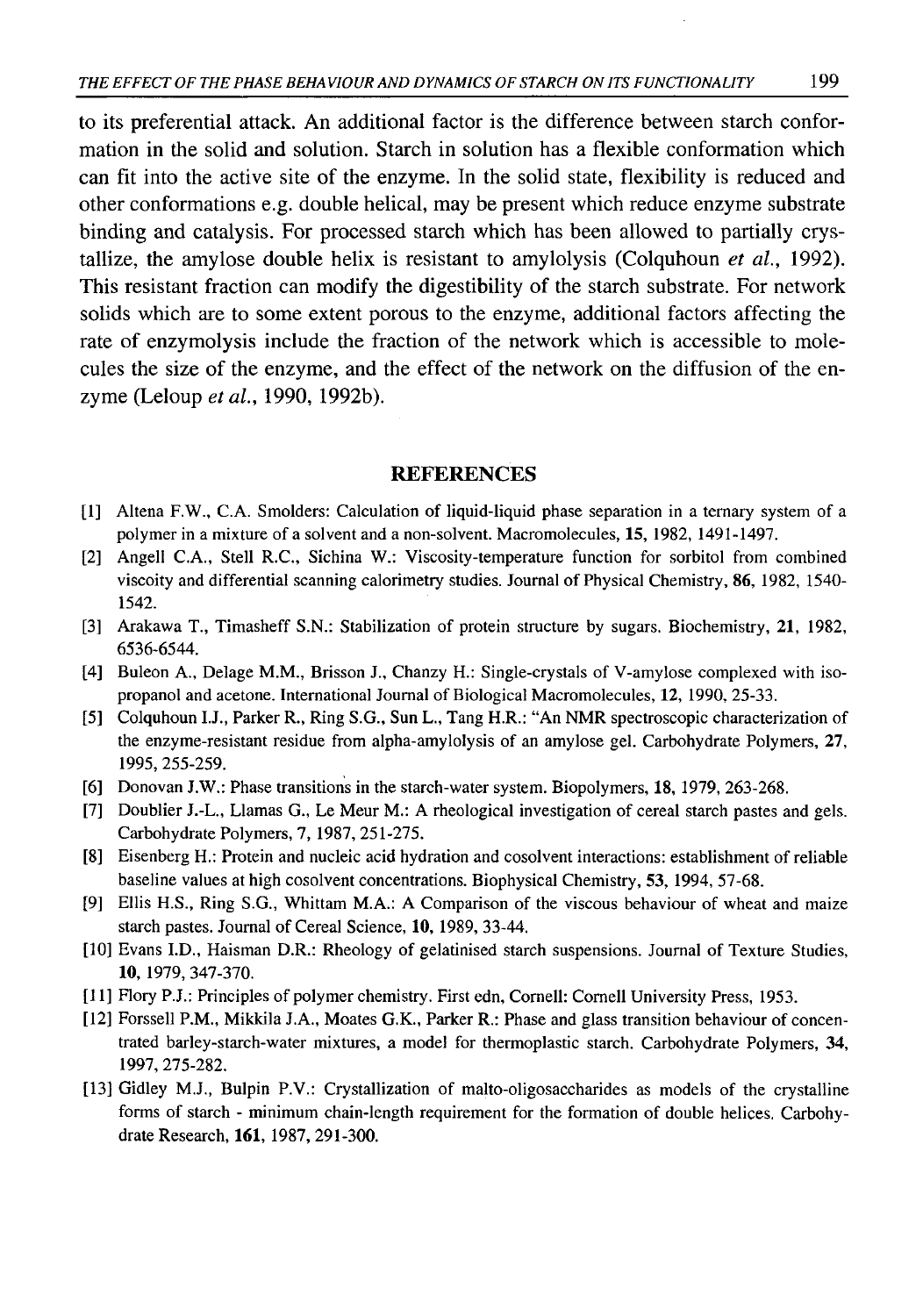to its preferential attack. An additional factor is the difference between starch conformation in the solid and solution. Starch in solution has a flexible conformation which can fit into the active site of the enzyme. In the solid state, flexibility is reduced and other conformations e.g. double helical, may be present which reduce enzyme substrate binding and catalysis. For processed starch which has been allowed to partially crystallize, the amylose double helix is resistant to amylolysis (Colquhoun *et al.,* 1992). This resistant fraction can modify the digestibility of the starch substrate. For network solids which are to some extent porous to the enzyme, additional factors affecting the rate of enzymolysis include the fraction of the network which is accessible to molecules the size of the enzyme, and the effect of the network on the diffusion of the enzyme (Leloup *et al.,* 1990, 1992b).

## REFERENCES

- [1] Altena F.W., C.A. Smolders: Calculation of liquid-liquid phase separation in a ternary system of a polymer in a mixture of a solvent and a non-solvent. Macromolecules, 15, 1982, 1491-1497.
- [2] Angell C.A., Stell R.C., Sichina W.: Viscosity-temperature function for sorbitol from combined viscoity and differential scanning calorimetry studies. Journal of Physical Chemistry, 86, 1982, 1540- 1542.
- [3] Arakawa T., Timasheff S.N.: Stabilization of protein structure by sugars. Biochemistry, **21,** 1982, 6536-6544.
- [4] Buleon A., Delage M.M., Brisson J., Chanzy H.: Single-crystals of V-amylose complexed with isopropanol and acetone. International Journal of Biological Macromolecules, 12, 1990, 25-33.
- [5] Colquhoun I.J., Parker R., Ring S.G., Sun L., Tang H.R.: "An NMR spectroscopic characterization of the enzyme-resistant residue from alpha-amylolysis of an amylose gel. Carbohydrate Polymers, 27, 1995,255-259.
- [6] Donovan J.W.: Phase transitions in the starch-water system. Biopolymers, **18,** 1979, 263-268.
- [7] Doublier J.-L., Llamas G., Le Meur M.: A rheological investigation of cereal starch pastes and gels. Carbohydrate Polymers, 7, 1987, 251-275.
- [8] Eisenberg H.: Protein and nucleic acid hydration and cosolvent interactions: establishment of reliable baseline values at high cosolvent concentrations. Biophysical Chemistry, **5 3 ,**1994, 57-68.
- [9] Ellis H.S., Ring S.G., Whittam M.A.: A Comparison of the viscous behaviour of wheat and maize starch pastes. Journal of Cereal Science, **10,** 1989, 33-44.
- [10] Evans I.D., Haisman D.R.: Rheology of gelatinised starch suspensions. Journal of Texture Studies, **10,** 1979, 347-370.
- [11] Flory P.J.: Principles of polymer chemistry. First edn, Cornell: Cornell University Press, 1953.
- [12] Forssell P.M., Mikkila J.A., Moates G.K., Parker R.: Phase and glass transition behaviour of concentrated barley-starch-water mixtures, a model for thermoplastic starch. Carbohydrate Polymers, 34, 1997, 275-282.
- [13] Gidley M.J., Bulpin P.V.: Crystallization of malto-oligosaccharides as models of the crystalline forms of starch - minimum chain-length requirement for the formation of double helices. Carbohydrate Research, **161,** 1987, 291-300.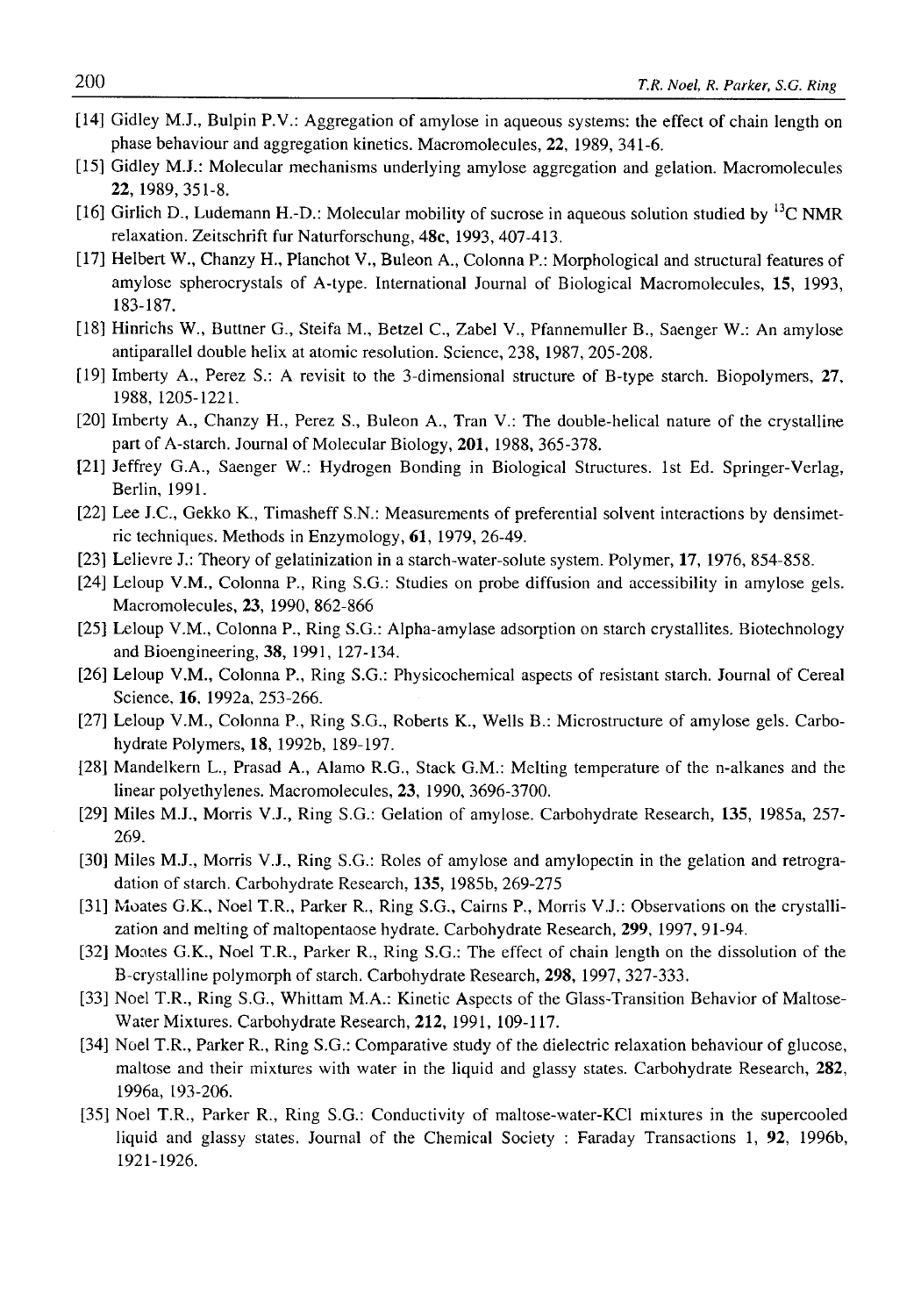- [14] Gidley M.J., Bulpin P.V.: Aggregation of amylose in aqueous systems: the effect of chain length on phase behaviour and aggregation kinetics. Macromolecules, 22, 1989, 341-6.
- [15] Gidley M.J.: Molecular mechanisms underlying amylose aggregation and gelation. Macromolecules 22, 1989, 351-8.
- [16] Girlich D., Ludemann H.-D.: Molecular mobility of sucrose in aqueous solution studied by <sup>13</sup>C NMR relaxation. Zeitschrift fur Naturforschung, **48c,** 1993, 407-413.
- [17] Helbert W., Chanzy H., Planchot V., Buleon A., Colonna P.: Morphological and structural features of amylose spherocrystals of A-type. International Journal of Biological Macromolecules, 15, 1993, 183-187.
- [18] Hinrichs W., Buttner G., Steifa M., Betzel C., Zabel V., Pfannemuller B., Saenger W.: An amylose antiparallel double helix at atomic resolution. Science, 238, 1987, 205-208.
- [19] Imberty A., Perez S.: A revisit to the 3-dimensional structure of B-type starch. Biopolymers, **27,** 1988, 1205-1221.
- [20] Imberty A., Chanzy H., Perez S., Buleon A., Tran V.: The double-helical nature of the crystalline part of A-starch. Journal of Molecular Biology, **201,** 1988, 365-378.
- [21] Jeffrey G.A., Saenger W.: Hydrogen Bonding in Biological Structures. 1st Ed. Springer-Verlag, Berlin, 1991.
- [22] Lee J.C., Gekko K., Timasheff S.N.: Measurements of preferential solvent interactions by densimetric techniques. Methods in Enzymology, **61,** 1979, 26-49.
- [23] Lelievre J.: Theory of gelatinization in a starch-water-solute system. Polymer, **17,** 1976, 854-858.
- [24] Leloup V.M., Colonna P., Ring S.G.: Studies on probe diffusion and accessibility in amylose gels. Macromolecules, **23,** 1990, 862-866
- [25] Leloup V.M., Colonna P., Ring S.G.: Alpha-amylase adsorption on starch crystallites. Biotechnology and Bioengineering, **38,** 1991, 127-134.
- [26] Leloup V.M., Colonna P., Ring S.G.: Physicochemical aspects of resistant starch. Journal of Cereal Science, **16,** 1992a, 253-266.
- [27] Leloup V.M., Colonna P., Ring S.G., Roberts K., Wells B.: Microstructure of amylose gels. Carbohydrate Polymers, **18,** 1992b, 189-197.
- [28] Mandelkern L., Prasad A., Alamo R.G., Stack G.M.: Melting temperature of the n-alkanes and the linear polyethylenes. Macromolecules, **23,** 1990, 3696-3700.
- [29] Miles M.J., Morris V.J., Ring S.G.: Gelation of amylose. Carbohydrate Research, **135,** 1985a, 257- 269.
- [30] Miles M.J., Morris V.J., Ring S.G.: Roles of amylose and amylopectin in the gelation and retrogradation of starch. Carbohydrate Research, **135,** 1985b, 269-275
- [31] Moates G.K., Noel T.R., Parker R., Ring S.G., Cairns P., Morris V.J.: Observations on the crystallization and melting of maltopentaose hydrate. Carbohydrate Research, **299,** 1997, 91-94.
- [32] Moates G.K., Noel T.R., Parker R., Ring S.G.: The effect of chain length on the dissolution of the B-crystalline polymorph of starch. Carbohydrate Research, **298,** 1997, 327-333.
- [33] Noel T.R., Ring S.G., Whittam M.A.: Kinetic Aspects of the Glass-Transition Behavior of Maltose-Water Mixtures. Carbohydrate Research, 212, 1991, 109-117.
- [34] Noel T.R., Parker R., Ring S.G.: Comparative study of the dielectric relaxation behaviour of glucose, maltose and their mixtures with water in the liquid and glassy states. Carbohydrate Research, **282,** 1996a, 193-206.
- [35] Noel T.R., Parker R., Ring S.G.: Conductivity of maltose-water-KCl mixtures in the supercooled liquid and glassy states. Journal of the Chemical Society : Faraday Transactions 1, **92,** 1996b, 1921-1926.